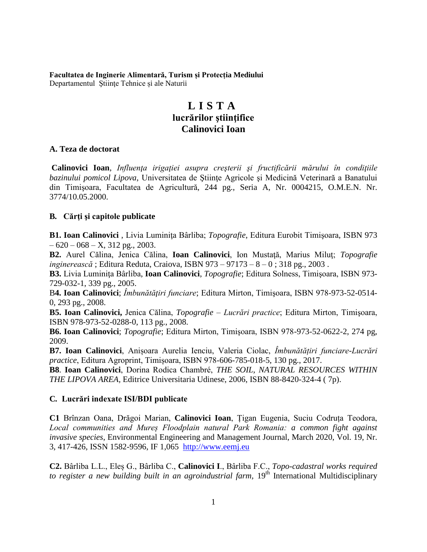#### **Facultatea de Inginerie Alimentară, Turism și Protecția Mediului** Departamentul Ştiinţe Tehnice și ale Naturii

# **L I S T A lucrărilor ştiinţifice Calinovici Ioan**

#### **A. Teza de doctorat**

**Calinovici Ioan**, *Influenţa irigaţiei asupra creşterii şi fructificării mărului în condiţiile bazinului pomicol Lipova*, Universitatea de Stiințe Agricole și Medicină Veterinară a Banatului din Timişoara, Facultatea de Agricultură, 244 pg., Seria A, Nr. 0004215, O.M.E.N. Nr. 3774/10.05.2000.

### **B***.* **Cărţi şi capitole publicate**

**B1. Ioan Calinovici**, Livia Luminita Bârliba; *Topografie*, Editura Eurobit Timisoara, ISBN 973  $-620 - 068 - X$ , 312 pg., 2003.

**B2.** Aurel Călina, Jenica Călina, **Ioan Calinovici**, Ion Mustaţă, Marius Miluţ; *Topografie inginerească* ; Editura Reduta, Craiova, ISBN 973 – 97173 – 8 – 0 ; 318 pg., 2003 .

**B3.** Livia Luminiţa Bârliba, **Ioan Calinovici**, *Topografie*; Editura Solness, Timişoara, ISBN 973- 729-032-1, 339 pg., 2005.

B**4. Ioan Calinovici**; *Îmbunătăţiri funciare*; Editura Mirton, Timişoara, ISBN 978-973-52-0514- 0, 293 pg., 2008.

**B5. Ioan Calinovici,** Jenica Călina, *Topografie – Lucrări practice*; Editura Mirton, Timişoara, ISBN 978-973-52-0288-0, 113 pg., 2008.

**B6. Ioan Calinovici**; *Topografie*; Editura Mirton, Timişoara, ISBN 978-973-52-0622-2, 274 pg, 2009.

**B7. Ioan Calinovici**, Anișoara Aurelia Ienciu, Valeria Ciolac, *Îmbunătățiri funciare-Lucrări practice*, Editura Agroprint, Timișoara, ISBN 978-606-785-018-5, 130 pg., 2017.

**B8**. **Ioan Calinovici**, Dorina Rodica Chambré, *THE SOIL, NATURAL RESOURCES WITHIN THE LIPOVA AREA,* Editrice Universitaria Udinese, 2006, ISBN 88-8420-324-4 ( 7p).

### **C***.* **Lucrări indexate ISI/BDI publicate**

**C1** Brînzan Oana, Drăgoi Marian, **Calinovici Ioan**, Țigan Eugenia, Suciu Codruța Teodora, *Local communities and Mureș Floodplain natural Park Romania: a common fight against invasive species*, Environmental Engineering and Management Journal, March 2020, Vol. 19, Nr. 3, 417-426, ISSN 1582-9596, IF 1,065 [http://www.eemj.eu](http://www.eemj.eu/)

**C2.** Bârliba L.L., Eleș G., Bârliba C., **Calinovici I**., Bârliba F.C., *Topo-cadastral works required*  to register a new building built in an agroindustrial farm, 19<sup>th</sup> International Multidisciplinary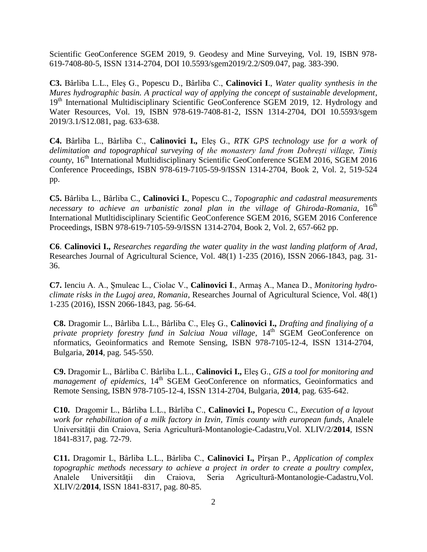Scientific GeoConference SGEM 2019, 9. Geodesy and Mine Surveying, Vol. 19, ISBN 978- 619-7408-80-5, ISSN 1314-2704, DOI 10.5593/sgem2019/2.2/S09.047, pag. 383-390.

**C3.** Bârliba L.L., Eleș G., Popescu D., Bârliba C., **Calinovici I**., *Water quality synthesis in the Mures hydrographic basin. A practical way of applying the concept of sustainable development*, 19<sup>th</sup> International Multidisciplinary Scientific GeoConference SGEM 2019, 12. Hydrology and Water Resources, Vol. 19, ISBN 978-619-7408-81-2, ISSN 1314-2704, DOI 10.5593/sgem 2019/3.1/S12.081, pag. 633-638.

**C4.** Bârliba L., Bârliba C., **Calinovici I.,** Eleș G., *RTK GPS technology use for a work of delimitation and topographical surveying of the monastery land from Dobrești village, Timiș county*, 16<sup>th</sup> International Mutitidisciplinary Scientific GeoConference SGEM 2016, SGEM 2016 Conference Proceedings, ISBN 978-619-7105-59-9/ISSN 1314-2704, Book 2, Vol. 2, 519-524 pp.

**C5.** Bârliba L., Bârliba C., **Calinovici I.**, Popescu C., *Topographic and cadastral measurements*  necessary to achieve an urbanistic zonal plan in the village of Ghiroda-Romania, 16<sup>th</sup> International Mutltidisciplinary Scientific GeoConference SGEM 2016, SGEM 2016 Conference Proceedings, ISBN 978-619-7105-59-9/ISSN 1314-2704, Book 2, Vol. 2, 657-662 pp.

**C6**. **Calinovici I.,** *Researches regarding the water quality in the wast landing platform of Arad*, Researches Journal of Agricultural Science, Vol. 48(1) 1-235 (2016), ISSN 2066-1843, pag. 31- 36.

**C7.** Ienciu A. A., Șmuleac L., Ciolac V., **Calinovici I**., Armaș A., Manea D., *Monitoring hydroclimate risks in the Lugoj area, Romania*, Researches Journal of Agricultural Science, Vol. 48(1) 1-235 (2016), ISSN 2066-1843, pag. 56-64.

**C8.** Dragomir L., Bârliba L.L., Bârliba C., Eleş G., **Calinovici I.,** *Drafting and finaliying of a private propriety forestry fund in Salciua Noua village*,  $14<sup>th</sup> SGEM GeoConference$  on nformatics, Geoinformatics and Remote Sensing, ISBN 978-7105-12-4, ISSN 1314-2704, Bulgaria, **2014**, pag. 545-550.

**C9.** Dragomir L., Bârliba C. Bârliba L.L., **Calinovici I.,** Eleş G., *GIS a tool for monitoring and management of epidemics*, 14<sup>th</sup> SGEM GeoConference on nformatics, Geoinformatics and Remote Sensing, ISBN 978-7105-12-4, ISSN 1314-2704, Bulgaria, **2014**, pag. 635-642.

**C10.** Dragomir L., Bârliba L.L., Bârliba C., **Calinovici I.,** Popescu C., *Execution of a layout work for rehabilitation of a milk factory in Izvin, Timis county with european funds*, Analele Universităţii din Craiova, Seria Agricultură-Montanologie-Cadastru,Vol. XLIV/2/**2014**, ISSN 1841-8317, pag. 72-79.

**C11.** Dragomir L, Bârliba L.L., Bârliba C., **Calinovici I.,** Pîrşan P., *Application of complex topographic methods necessary to achieve a project in order to create a poultry complex*, Analele Universităţii din Craiova, Seria Agricultură-Montanologie-Cadastru,Vol. XLIV/2/**2014**, ISSN 1841-8317, pag. 80-85.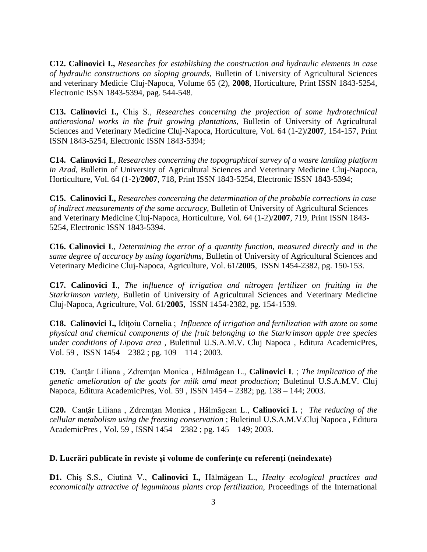**C12. Calinovici I.,** *Researches for establishing the construction and hydraulic elements in case of hydraulic constructions on sloping grounds*, Bulletin of University of Agricultural Sciences and veterinary Medicie Cluj-Napoca, Volume 65 (2), **2008**, Horticulture, Print ISSN 1843-5254, Electronic ISSN 1843-5394, pag. 544-548.

**C13. Calinovici I.,** Chiş S., *Researches concerning the projection of some hydrotechnical antierosional works in the fruit growing plantations*, Bulletin of University of Agricultural Sciences and Veterinary Medicine Cluj-Napoca, Horticulture, Vol. 64 (1-2)/**2007**, 154-157, Print ISSN 1843-5254, Electronic ISSN 1843-5394;

**C14. Calinovici I**., *Researches concerning the topographical survey of a wasre landing platform in Arad,* Bulletin of University of Agricultural Sciences and Veterinary Medicine Cluj-Napoca, Horticulture, Vol. 64 (1-2)/**2007**, 718, Print ISSN 1843-5254, Electronic ISSN 1843-5394;

**C15. Calinovici I.,** *Researches concerning the determination of the probable corrections in case of indirect measurements of the same accuracy*, Bulletin of University of Agricultural Sciences and Veterinary Medicine Cluj-Napoca, Horticulture, Vol. 64 (1-2)/**2007**, 719, Print ISSN 1843- 5254, Electronic ISSN 1843-5394.

**C16. Calinovici I**., *Determining the error of a quantity function, measured directly and in the same degree of accuracy by using logarithms,* Bulletin of University of Agricultural Sciences and Veterinary Medicine Cluj-Napoca, Agriculture, Vol. 61/**2005**, ISSN 1454-2382, pg. 150-153.

**C17. Calinovici I**., *The influence of irrigation and nitrogen fertilizer on fruiting in the Starkrimson variety,* Bulletin of University of Agricultural Sciences and Veterinary Medicine Cluj-Napoca, Agriculture, Vol. 61/**2005**, ISSN 1454-2382, pg. 154-1539.

**C18. Calinovici I.,** Idiţoiu Cornelia ; *Influence of irrigation and fertilization with azote on some physical and chemical components of the fruit belonging to the Starkrimson apple tree species under conditions of Lipova area* , Buletinul U.S.A.M.V. Cluj Napoca , Editura AcademicPres, Vol. 59 , ISSN 1454 – 2382 ; pg. 109 – 114 ; 2003.

**C19.** Canţăr Liliana , Zdremţan Monica , Hălmăgean L., **Calinovici I**. ; *The implication of the genetic amelioration of the goats for milk amd meat production*; Buletinul U.S.A.M.V. Cluj Napoca, Editura AcademicPres, Vol. 59 , ISSN 1454 – 2382; pg. 138 – 144; 2003.

**C20.** Canţăr Liliana , Zdremţan Monica , Hălmăgean L., **Calinovici I.** ; *The reducing of the cellular metabolism using the freezing conservation* ; Buletinul U.S.A.M.V.Cluj Napoca , Editura AcademicPres , Vol. 59 , ISSN 1454 – 2382 ; pg. 145 – 149; 2003.

### **D. Lucrări publicate în reviste și volume de conferințe cu referenți (neindexate)**

**D1.** Chiş S.S., Ciutină V., **Calinovici I.,** Hălmăgean L., *Healty ecological practices and economically attractive of leguminous plants crop fertilization,* Proceedings of the International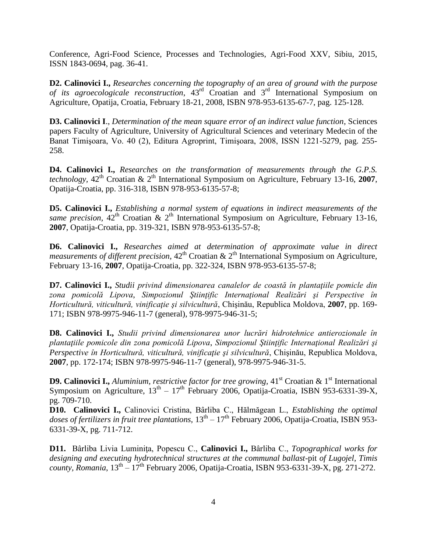Conference, Agri-Food Science, Processes and Technologies, Agri-Food XXV, Sibiu, 2015, ISSN 1843-0694, pag. 36-41.

**D2. Calinovici I.,** *Researches concerning the topography of an area of ground with the purpose of its agroecologicale reconstruction*, 43rd Croatian and 3rd International Symposium on Agriculture, Opatija, Croatia, February 18-21, 2008, ISBN 978-953-6135-67-7, pag. 125-128.

**D3. Calinovici I**., *Determination of the mean square error of an indirect value function*, Sciences papers Faculty of Agriculture, University of Agricultural Sciences and veterinary Medecin of the Banat Timişoara, Vo. 40 (2), Editura Agroprint, Timişoara, 2008, ISSN 1221-5279, pag. 255- 258.

**D4. Calinovici I.,** *Researches on the transformation of measurements through the G.P.S. technology*,  $42<sup>th</sup> Croatian & 2<sup>th</sup> International Symposium on Agriculture, February 13-16, 2007$ , Opatija-Croatia, pp. 316-318, ISBN 978-953-6135-57-8;

**D5. Calinovici I.,** *Establishing a normal system of equations in indirect measurements of the same precision,*  $42^{th}$  Croatian &  $2^{th}$  International Symposium on Agriculture, February 13-16, **2007**, Opatija-Croatia, pp. 319-321, ISBN 978-953-6135-57-8;

**D6. Calinovici I.,** *Researches aimed at determination of approximate value in direct measurements of different precision*,  $42<sup>th</sup>$  Croatian &  $2<sup>th</sup>$  International Symposium on Agriculture, February 13-16, **2007**, Opatija-Croatia, pp. 322-324, ISBN 978-953-6135-57-8;

**D7. Calinovici I.,** *Studii privind dimensionarea canalelor de coastă în plantaţiile pomicle din zona pomicolă Lipova*, *Simpozionul Ştiinţific Internaţional Realizări şi Perspective în Horticultură, viticultură, vinificaţie şi silvicultură*, Chişinău, Republica Moldova, **2007**, pp. 169- 171; ISBN 978-9975-946-11-7 (general), 978-9975-946-31-5;

**D8. Calinovici I.,** *Studii privind dimensionarea unor lucrări hidrotehnice antierozionale în plantaţiile pomicole din zona pomicolă Lipova*, *Simpozionul Ştiinţific Internaţional Realizări şi Perspective în Horticultură, viticultură, vinificaţie şi silvicultură*, Chişinău, Republica Moldova, **2007**, pp. 172-174; ISBN 978-9975-946-11-7 (general), 978-9975-946-31-5.

**D9. Calinovici I.,** *Aluminium, restrictive factor for tree growing,* 41<sup>st</sup> Croatian & 1<sup>st</sup> International Symposium on Agriculture,  $13<sup>th</sup> - 17<sup>th</sup>$  February 2006, Opatija-Croatia, ISBN 953-6331-39-X, pg. 709-710.

**D10. Calinovici I.,** Calinovici Cristina, Bârliba C., Hălmăgean L., *Establishing the optimal*  doses of fertilizers in fruit tree plantations,  $13^{\text{th}}$  –  $17^{\text{th}}$  February 2006, Opatija-Croatia, ISBN 953-6331-39-X, pg. 711-712.

**D11.** Bârliba Livia Luminiţa, Popescu C., **Calinovici I.,** Bârliba C., *Topographical works for designing and executing hydrotechnical structures at the communal ballast*-pit *of Lugojel, Timis county, Romania*, 13th – 17th February 2006, Opatija-Croatia, ISBN 953-6331-39-X, pg. 271-272.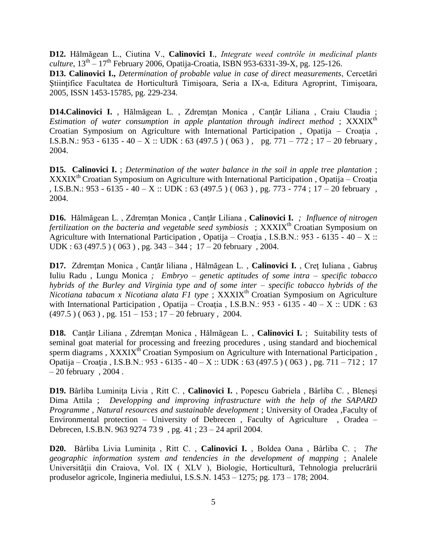**D12.** Hălmăgean L., Ciutina V., **Calinovici I**., *Integrate weed contrôle in medicinal plants culture*, 13th – 17th February 2006, Opatija-Croatia, ISBN 953-6331-39-X, pg. 125-126.

**D13. Calinovici I.,** *Determination of probable value in case of direct measurements*, Cercetări Ştiinţifice Facultatea de Horticultură Timişoara, Seria a IX-a, Editura Agroprint, Timişoara, 2005, ISSN 1453-15785, pg. 229-234.

**D14.Calinovici I.** , Hălmăgean L., Zdremtan Monica, Cantăr Liliana, Craiu Claudia ; *Estimation of water consumption in apple plantation through indirect method*; XXXIX<sup>th</sup> Croatian Symposium on Agriculture with International Participation , Opatija – Croaţia , I.S.B.N.:  $953 - 6135 - 40 - X$  :: UDK : 63 (497.5) (063), pg. 771 – 772; 17 – 20 february, 2004.

**D15. Calinovici I.** ; *Determination of the water balance in the soil in apple tree plantation* ; XXXIX<sup>th</sup> Croatian Symposium on Agriculture with International Participation, Opatija – Croația , I.S.B.N.: 953 - 6135 - 40 - X :: UDK : 63 (497.5 ) ( 063 ), pg. 773 - 774 ; 17 - 20 february, 2004.

**D16.** Hălmăgean L. , Zdremţan Monica , Canţăr Liliana , **Calinovici I.** *; Influence of nitrogen fertilization on the bacteria and vegetable seed symbiosis* ; XXXIX<sup>th</sup> Croatian Symposium on Agriculture with International Participation, Opatija – Croația, I.S.B.N.: 953 - 6135 - 40 – X :: UDK :  $63 (497.5) (063)$ , pg.  $343 - 344$ ;  $17 - 20$  february, 2004.

**D17.** Zdremţan Monica , Canţăr liliana , Hălmăgean L. , **Calinovici I.** , Creţ Iuliana , Gabruş Iuliu Radu , Lungu Monica *; Embryo – genetic aptitudes of some intra – specific tobacco hybrids of the Burley and Virginia type and of some inter – specific tobacco hybrids of the Nicotiana tabacum x Nicotiana alata F1 type* ; XXXIX<sup>th</sup> Croatian Symposium on Agriculture with International Participation, Opatija – Croatia, I.S.B.N.: 953 - 6135 - 40 – X :: UDK : 63  $(497.5)$  ( 063 ), pg.  $151 - 153$ ;  $17 - 20$  february, 2004.

**D18.** Canţăr Liliana , Zdremţan Monica , Hălmăgean L. , **Calinovici I.** ; Suitability tests of seminal goat material for processing and freezing procedures , using standard and biochemical sperm diagrams, XXXIX<sup>th</sup> Croatian Symposium on Agriculture with International Participation, Opatija – Croaţia , I.S.B.N.: 953 - 6135 - 40 – X :: UDK : 63 (497.5 ) ( 063 ) , pg. 711 – 712 ; 17 – 20 february , 2004 .

**D19.** Bârliba Luminiţa Livia , Ritt C. , **Calinovici I.** , Popescu Gabriela , Bârliba C. , Bleneşi Dima Attila ; *Developping and improving infrastructure with the help of the SAPARD Programme , Natural resources and sustainable development* ; University of Oradea ,Faculty of Environmental protection – University of Debrecen , Faculty of Agriculture , Oradea – Debrecen, I.S.B.N. 963 9274 73 9 , pg. 41 ; 23 – 24 april 2004.

**D20.** Bârliba Livia Luminiţa , Ritt C. , **Calinovici I.** , Boldea Oana , Bârliba C. ; *The geographic information system and tendencies in the development of mapping* ; Analele Universităţii din Craiova, Vol. IX ( XLV ), Biologie, Horticultură, Tehnologia prelucrării produselor agricole, Ingineria mediului, I.S.S.N. 1453 – 1275; pg. 173 – 178; 2004.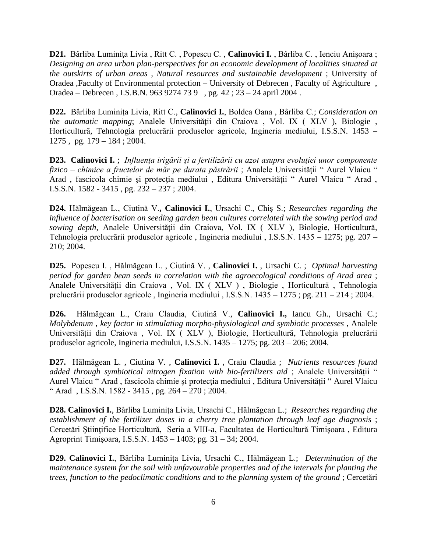**D21.** Bârliba Luminiţa Livia , Ritt C. , Popescu C. , **Calinovici I.** , Bârliba C. , Ienciu Anişoara ; *Designing an area urban plan-perspectives for an economic development of localities situated at the outskirts of urban areas , Natural resources and sustainable development* ; University of Oradea ,Faculty of Environmental protection – University of Debrecen , Faculty of Agriculture , Oradea – Debrecen , I.S.B.N. 963 9274 73 9 , pg. 42 ; 23 – 24 april 2004 .

**D22.** Bârliba Luminiţa Livia, Ritt C., **Calinovici I.**, Boldea Oana , Bârliba C.; *Consideration on the automatic mapping*; Analele Universităţii din Craiova , Vol. IX ( XLV ), Biologie , Horticultură, Tehnologia prelucrării produselor agricole, Ingineria mediului, I.S.S.N. 1453 – 1275 , pg. 179 – 184 ; 2004.

**D23. Calinovici I.** ; *Influenţa irigării şi a fertilizării cu azot asupra evoluţiei unor componente fizico – chimice a fructelor de măr pe durata păstrării* ; Analele Universităţii " Aurel Vlaicu " Arad , fascicola chimie şi protecţia mediului , Editura Universităţii " Aurel Vlaicu " Arad , I.S.S.N. 1582 - 3415 , pg. 232 – 237 ; 2004.

**D24.** Hălmăgean L., Ciutină V.**, Calinovici I.**, Ursachi C., Chiş S.; *Researches regarding the influence of bacterisation on seeding garden bean cultures correlated with the sowing period and sowing depth*, Analele Universităţii din Craiova, Vol. IX ( XLV ), Biologie, Horticultură, Tehnologia prelucrării produselor agricole , Ingineria mediului , I.S.S.N. 1435 – 1275; pg. 207 – 210; 2004.

**D25.** Popescu I. , Hălmăgean L. , Ciutină V. , **Calinovici I.** , Ursachi C. ; *Optimal harvesting period for garden bean seeds in correlation with the agroecological conditions of Arad area* ; Analele Universităţii din Craiova , Vol. IX ( XLV ) , Biologie , Horticultură , Tehnologia prelucrării produselor agricole , Ingineria mediului , I.S.S.N. 1435 – 1275 ; pg. 211 – 214 ; 2004.

**D26.** Hălmăgean L., Craiu Claudia, Ciutină V., **Calinovici I.,** Iancu Gh., Ursachi C.; *Molybdenum , key factor in stimulating morpho-physiological and symbiotic processes* , Analele Universităţii din Craiova , Vol. IX ( XLV ), Biologie, Horticultură, Tehnologia prelucrării produselor agricole, Ingineria mediului, I.S.S.N. 1435 – 1275; pg. 203 – 206; 2004.

**D27.** Hălmăgean L. , Ciutina V. , **Calinovici I.** , Craiu Claudia ; *Nutrients resources found added through symbiotical nitrogen fixation with bio-fertilizers aid* ; Analele Universităţii " Aurel Vlaicu " Arad , fascicola chimie şi protecţia mediului , Editura Universităţii " Aurel Vlaicu " Arad , I.S.S.N. 1582 - 3415 , pg.  $264 - 270$ ; 2004.

**D28. Calinovici I.**, Bârliba Luminiţa Livia, Ursachi C., Hălmăgean L.; *Researches regarding the establishment of the fertilizer doses in a cherry tree plantation through leaf age diagnosis* ; Cercetări Ştiinţifice Horticultură, Seria a VIII-a, Facultatea de Horticultură Timişoara , Editura Agroprint Timişoara, I.S.S.N. 1453 – 1403; pg. 31 – 34; 2004.

**D29. Calinovici I.**, Bârliba Luminiţa Livia, Ursachi C., Hălmăgean L.; *Determination of the maintenance system for the soil with unfavourable properties and of the intervals for planting the trees, function to the pedoclimatic conditions and to the planning system of the ground* ; Cercetări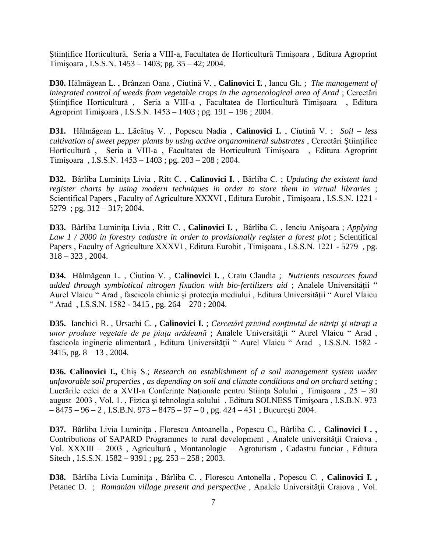Ştiinţifice Horticultură, Seria a VIII-a, Facultatea de Horticultură Timişoara , Editura Agroprint Timişoara , I.S.S.N. 1453 – 1403; pg. 35 – 42; 2004.

**D30.** Hălmăgean L. , Brânzan Oana , Ciutină V. , **Calinovici I.** , Iancu Gh. ; *The management of integrated control of weeds from vegetable crops in the agroecological area of Arad* ; Cercetări Ştiinţifice Horticultură , Seria a VIII-a , Facultatea de Horticultură Timişoara , Editura Agroprint Timişoara , I.S.S.N. 1453 – 1403 ; pg. 191 – 196 ; 2004.

**D31.** Hălmăgean L., Lăcătuş V. , Popescu Nadia , **Calinovici I.** , Ciutină V. ; *Soil – less cultivation of sweet pepper plants by using active organomineral substrates* , Cercetări Ştiinţifice Horticultură , Seria a VIII-a , Facultatea de Horticultură Timişoara , Editura Agroprint Timişoara , I.S.S.N. 1453 – 1403 ; pg. 203 – 208 ; 2004.

**D32.** Bârliba Luminiţa Livia , Ritt C. , **Calinovici I.** , Bârliba C. ; *Updating the existent land register charts by using modern techniques in order to store them in virtual libraries* ; Scientifical Papers , Faculty of Agriculture XXXVI , Editura Eurobit , Timişoara , I.S.S.N. 1221 - 5279 ; pg. 312 – 317; 2004.

**D33.** Bârliba Luminiţa Livia , Ritt C. , **Calinovici I.** , Bârliba C. , Ienciu Anişoara ; *Applying Law 1 / 2000 in forestry cadastre in order to provisionally register a forest plot* ; Scientifical Papers , Faculty of Agriculture XXXVI , Editura Eurobit , Timişoara , I.S.S.N. 1221 - 5279 , pg.  $318 - 323$ , 2004.

**D34.** Hălmăgean L. , Ciutina V. , **Calinovici I.** , Craiu Claudia ; *Nutrients resources found added through symbiotical nitrogen fixation with bio-fertilizers aid*; Analele Universității " Aurel Vlaicu " Arad , fascicola chimie şi protecţia mediului , Editura Universităţii " Aurel Vlaicu " Arad , I.S.S.N. 1582 - 3415 , pg. 264 – 270 ; 2004.

**D35.** Ianchici R. , Ursachi C. **, Calinovici I.** ; *Cercetări privind conţinutul de nitriţi şi nitraţi a unor produse vegetale de pe piaţa arădeană* ; Analele Universităţii " Aurel Vlaicu " Arad , fascicola inginerie alimentară , Editura Universităţii " Aurel Vlaicu " Arad , I.S.S.N. 1582 -  $3415$ , pg.  $8 - 13$ , 2004.

**D36. Calinovici I.,** Chiş S.; *Research on establishment of a soil management system under unfavorable soil properties , as depending on soil and climate conditions and on orchard setting* ; Lucrările celei de a XVII-a Conferințe Naționale pentru Stiința Solului, Timișoara, 25 – 30 august 2003 , Vol. 1. , Fizica şi tehnologia solului , Editura SOLNESS Timişoara , I.S.B.N. 973  $-8475 - 96 - 2$ , I.S.B.N. 973 – 8475 – 97 – 0, pg. 424 – 431; București 2004.

**D37.** Bârliba Livia Luminiţa , Florescu Antoanella , Popescu C., Bârliba C. , **Calinovici I . ,** Contributions of SAPARD Programmes to rural development , Analele universităţii Craiova , Vol. XXXIII – 2003 , Agricultură , Montanologie – Agroturism , Cadastru funciar , Editura Sitech , I.S.S.N. 1582 – 9391 ; pg. 253 – 258 ; 2003.

**D38.** Bârliba Livia Luminiţa , Bârliba C. , Florescu Antonella , Popescu C. , **Calinovici I. ,** Petanec D. ; *Romanian village present and perspective*, Analele Universității Craiova, Vol.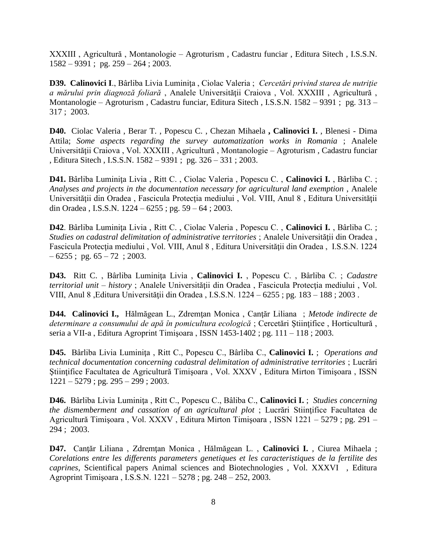XXXIII , Agricultură , Montanologie – Agroturism , Cadastru funciar , Editura Sitech , I.S.S.N.  $1582 - 9391$ ; pg.  $259 - 264$ ; 2003.

**D39. Calinovici I**., Bârliba Livia Luminiţa , Ciolac Valeria ; *Cercetări privind starea de nutriţie a mărului prin diagnoză foliară* , Analele Universităţii Craiova , Vol. XXXIII , Agricultură , Montanologie – Agroturism , Cadastru funciar, Editura Sitech , I.S.S.N. 1582 – 9391 ; pg. 313 – 317 ; 2003.

**D40.** Ciolac Valeria , Berar T. , Popescu C. , Chezan Mihaela **, Calinovici I.** , Blenesi - Dima Attila; *Some aspects regarding the survey automatization works in Romania* ; Analele Universităţii Craiova , Vol. XXXIII , Agricultură , Montanologie – Agroturism , Cadastru funciar , Editura Sitech , I.S.S.N. 1582 – 9391 ; pg. 326 – 331 ; 2003.

**D41.** Bârliba Luminiţa Livia , Ritt C. , Ciolac Valeria , Popescu C. , **Calinovici I.** , Bârliba C. ; *Analyses and projects in the documentation necessary for agricultural land exemption* , Analele Universităţii din Oradea , Fascicula Protecţia mediului , Vol. VIII, Anul 8 , Editura Universităţii din Oradea , I.S.S.N. 1224 – 6255 ; pg. 59 – 64 ; 2003.

**D42**. Bârliba Luminiţa Livia , Ritt C. , Ciolac Valeria , Popescu C. , **Calinovici I.** , Bârliba C. ; *Studies on cadastral delimitation of administrative territories* ; Analele Universităţii din Oradea , Fascicula Protecţia mediului , Vol. VIII, Anul 8 , Editura Universităţii din Oradea , I.S.S.N. 1224  $-6255$ ; pg.  $65 - 72$ ; 2003.

**D43.** Ritt C. , Bârliba Luminiţa Livia , **Calinovici I.** , Popescu C. , Bârliba C. ; *Cadastre territorial unit – history* ; Analele Universităţii din Oradea , Fascicula Protecţia mediului , Vol. VIII, Anul 8 ,Editura Universităţii din Oradea , I.S.S.N. 1224 – 6255 ; pg. 183 – 188 ; 2003 .

**D44. Calinovici I.,** Hălmăgean L., Zdremţan Monica , Canţăr Liliana ; *Metode indirecte de determinare a consumului de apă în pomicultura ecologică* ; Cercetări Ştiinţifice , Horticultură , seria a VII-a , Editura Agroprint Timişoara , ISSN 1453-1402 ; pg. 111 – 118 ; 2003.

**D45.** Bârliba Livia Luminiţa , Ritt C., Popescu C., Bârliba C., **Calinovici I.** ; *Operations and technical documentation concerning cadastral delimitation of administrative territories* ; Lucrări Ştiinţifice Facultatea de Agricultură Timişoara , Vol. XXXV , Editura Mirton Timişoara , ISSN  $1221 - 5279$ ; pg.  $295 - 299$ ; 2003.

**D46.** Bârliba Livia Luminiţa , Ritt C., Popescu C., Bâliba C., **Calinovici I.** ; *Studies concerning the dismemberment and cassation of an agricultural plot* ; Lucrări Stiinţifice Facultatea de Agricultură Timişoara , Vol. XXXV , Editura Mirton Timişoara , ISSN 1221 – 5279 ; pg. 291 – 294 ; 2003.

**D47.** Canţăr Liliana , Zdremţan Monica , Hălmăgean L. , **Calinovici I.** , Ciurea Mihaela ; *Corelations entre les differents parameters genetiques et les caracteristiques de la fertilite des caprines*, Scientifical papers Animal sciences and Biotechnologies , Vol. XXXVI , Editura Agroprint Timişoara , I.S.S.N. 1221 – 5278 ; pg. 248 – 252, 2003.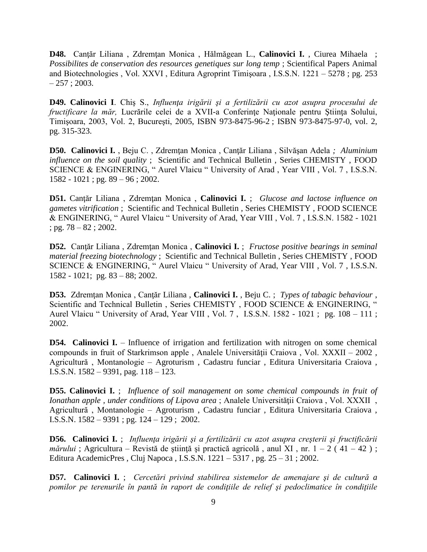**D48.** Canţăr Liliana , Zdremţan Monica , Hălmăgean L., **Calinovici I.** , Ciurea Mihaela ; *Possibilites de conservation des resources genetiques sur long temp* ; Scientifical Papers Animal and Biotechnologies , Vol. XXVI , Editura Agroprint Timişoara , I.S.S.N. 1221 – 5278 ; pg. 253  $-257$ ; 2003.

**D49. Calinovici I**. Chiş S., *Influenţa irigării şi a fertilizării cu azot asupra procesului de fructificare la măr,* Lucrările celei de a XVII-a Conferinţe Naţionale pentru Ştiinţa Solului, Timişoara, 2003, Vol. 2, Bucureşti, 2005, ISBN 973-8475-96-2 ; ISBN 973-8475-97-0, vol. 2, pg. 315-323.

**D50. Calinovici I.** , Beju C. , Zdremţan Monica , Canţăr Liliana , Silvăşan Adela *; Aluminium influence on the soil quality* ; Scientific and Technical Bulletin , Series CHEMISTY , FOOD SCIENCE & ENGINERING, " Aurel Vlaicu " University of Arad , Year VIII , Vol. 7 , I.S.S.N. 1582 - 1021 ; pg. 89 – 96 ; 2002.

**D51.** Canţăr Liliana , Zdremţan Monica , **Calinovici I.** ; *Glucose and lactose influence on gametes vitrification* ; Scientific and Technical Bulletin , Series CHEMISTY , FOOD SCIENCE & ENGINERING, " Aurel Vlaicu " University of Arad, Year VIII , Vol. 7 , I.S.S.N. 1582 - 1021 ; pg. 78 – 82 ; 2002.

**D52.** Canţăr Liliana , Zdremţan Monica , **Calinovici I.** ; *Fructose positive bearings in seminal material freezing biotechnology* ; Scientific and Technical Bulletin , Series CHEMISTY , FOOD SCIENCE & ENGINERING, " Aurel Vlaicu " University of Arad, Year VIII , Vol. 7 , I.S.S.N. 1582 - 1021; pg. 83 – 88; 2002.

**D53.** Zdremţan Monica , Canţăr Liliana , **Calinovici I.** , Beju C. ; *Types of tabagic behaviour* , Scientific and Technical Bulletin, Series CHEMISTY, FOOD SCIENCE & ENGINERING, " Aurel Vlaicu " University of Arad, Year VIII , Vol. 7 , I.S.S.N. 1582 - 1021 ; pg. 108 – 111 ; 2002.

**D54. Calinovici I.** – Influence of irrigation and fertilization with nitrogen on some chemical compounds in fruit of Starkrimson apple , Analele Universităţii Craiova , Vol. XXXII – 2002 , Agricultură , Montanologie – Agroturism , Cadastru funciar , Editura Universitaria Craiova , I.S.S.N. 1582 – 9391, pag. 118 – 123.

**D55. Calinovici I.** ; *Influence of soil management on some chemical compounds in fruit of Ionathan apple , under conditions of Lipova area* ; Analele Universităţii Craiova , Vol. XXXII , Agricultură , Montanologie – Agroturism , Cadastru funciar , Editura Universitaria Craiova , I.S.S.N. 1582 – 9391 ; pg. 124 – 129 ; 2002.

**D56. Calinovici I.** ; *Influenţa irigării şi a fertilizării cu azot asupra creşterii şi fructificării mărului* ; Agricultura – Revistă de știință și practică agricolă, anul XI, nr. 1 – 2 (41 – 42); Editura AcademicPres , Cluj Napoca , I.S.S.N. 1221 – 5317 , pg. 25 – 31 ; 2002.

**D57. Calinovici I.** ; *Cercetări privind stabilirea sistemelor de amenajare şi de cultură a pomilor pe terenurile în pantă în raport de condiţiile de relief şi pedoclimatice în condiţiile*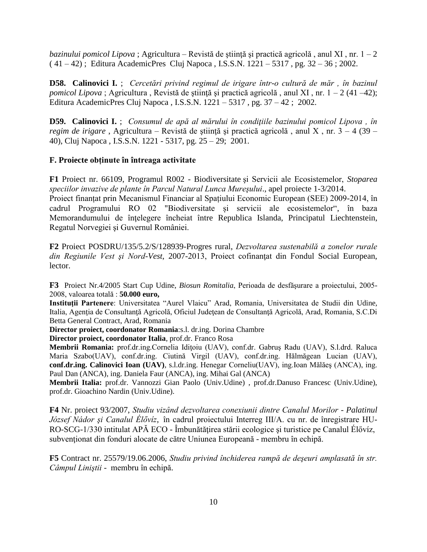*bazinului pomicol Lipova* ; Agricultura – Revistă de ştiinţă şi practică agricolă , anul XI , nr. 1 – 2  $(41 – 42)$ ; Editura AcademicPres Cluj Napoca, I.S.S.N. 1221 – 5317, pg. 32 – 36; 2002.

**D58. Calinovici I.** ; *Cercetări privind regimul de irigare într-o cultură de măr , în bazinul pomicol Lipova* ; Agricultura , Revistă de ştiinţă şi practică agricolă , anul XI , nr. 1 – 2 (41 –42); Editura AcademicPres Cluj Napoca , I.S.S.N. 1221 – 5317 , pg. 37 – 42 ; 2002.

**D59. Calinovici I.** ; *Consumul de apă al mărului în condiţiile bazinului pomicol Lipova , în regim de irigare* , Agricultura – Revistă de ştiinţă şi practică agricolă , anul X , nr. 3 – 4 (39 – 40), Cluj Napoca , I.S.S.N. 1221 - 5317, pg. 25 – 29; 2001.

## **F. Proiecte obținute în întreaga activitate**

**F1** Proiect nr. 66109, Programul R002 - Biodiversitate şi Servicii ale Ecosistemelor, *Stoparea speciilor invazive de plante în Parcul Natural Lunca Mureşului*., apel proiecte 1-3/2014.

Proiect finanțat prin Mecanismul Financiar al Spațiului Economic European (SEE) 2009-2014, în cadrul Programului RO 02 "Biodiversitate și servicii ale ecosistemelor", în baza Memorandumului de înţelegere încheiat între Republica Islanda, Principatul Liechtenstein, Regatul Norvegiei şi Guvernul României.

**F2** Proiect POSDRU/135/5.2/S/128939-Progres rural, *Dezvoltarea sustenabilă a zonelor rurale din Regiunile Vest şi Nord-Vest*, 2007-2013, Proiect cofinanţat din Fondul Social European, lector.

**F3** Proiect Nr.4/2005 Start Cup Udine, *Biosun Romitalia*, Perioada de desfăşurare a proiectului, 2005- 2008, valoarea totală : **50.000 euro,**

**Instituţii Partenere**: Universitatea "Aurel Vlaicu" Arad, Romania, Universitatea de Studii din Udine, Italia, Agenția de Consultanță Agricolă, Oficiul Județean de Consultanță Agricolă, Arad, Romania, S.C.Di Betta General Contract, Arad, Romania

**Director proiect, coordonator Romania**:s.l. dr.ing. Dorina Chambre

**Director proiect, coordonator Italia**, prof.dr. Franco Rosa

**Membrii Romania:** prof.dr.ing.Cornelia Idiţoiu (UAV), conf.dr. Gabruş Radu (UAV), S.l.drd. Raluca Maria Szabo(UAV), conf.dr.ing. Ciutină Virgil (UAV), conf.dr.ing. Hălmăgean Lucian (UAV), **conf.dr.ing. Calinovici Ioan (UAV)**, s.l.dr.ing. Henegar Corneliu(UAV), ing.Ioan Mălăeş (ANCA), ing. Paul Dan (ANCA), ing. Daniela Faur (ANCA), ing. Mihai Gal (ANCA)

**Membrii Italia:** prof.dr. Vannozzi Gian Paolo (Univ.Udine) , prof.dr.Danuso Francesc (Univ.Udine), prof.dr. Gioachino Nardin (Univ.Udine).

**F4** Nr. proiect 93/2007, *Studiu vizând dezvoltarea conexiunii dintre Canalul Morilor - Palatinul József Nádor şi Canalul Élővíz*, în cadrul proiectului Interreg III/A. cu nr. de înregistrare HU-RO-SCG-1/330 intitulat APĂ ECO - Îmbunătăţirea stării ecologice şi turistice pe Canalul Élővíz, subvenționat din fonduri alocate de către Uniunea Europeană - membru în echipă.

**F5** Contract nr. 25579/19.06.2006, *Studiu privind închiderea rampă de deşeuri amplasată în str. Câmpul Liniştii* - membru în echipă.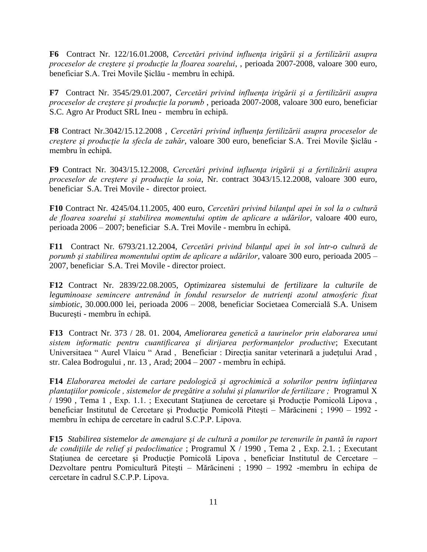**F6** Contract Nr. 122/16.01.2008, *Cercetări privind influenţa irigării şi a fertilizării asupra proceselor de creştere şi producţie la floarea soarelui*, , perioada 2007-2008, valoare 300 euro, beneficiar S.A. Trei Movile Şiclău - membru în echipă.

**F7** Contract Nr. 3545/29.01.2007, *Cercetări privind influenţa irigării şi a fertilizării asupra proceselor de creştere şi producţie la porumb* , perioada 2007-2008, valoare 300 euro, beneficiar S.C. Agro Ar Product SRL Ineu - membru în echipă.

**F8** Contract Nr.3042/15.12.2008 , *Cercetări privind influenţa fertilizării asupra proceselor de creştere şi producţie la sfecla de zahăr*, valoare 300 euro, beneficiar S.A. Trei Movile Şiclău membru în echipă.

**F9** Contract Nr. 3043/15.12.2008, *Cercetări privind influenţa irigării şi a fertilizării asupra proceselor de creştere şi producţie la soia*, Nr. contract 3043/15.12.2008, valoare 300 euro, beneficiar S.A. Trei Movile - director proiect.

**F10** Contract Nr. 4245/04.11.2005, 400 euro, *Cercetări privind bilanţul apei în sol la o cultură de floarea soarelui şi stabilirea momentului optim de aplicare a udărilor*, valoare 400 euro, perioada 2006 – 2007; beneficiar S.A. Trei Movile - membru în echipă.

**F11** Contract Nr. 6793/21.12.2004, *Cercetări privind bilanţul apei în sol într-o cultură de porumb şi stabilirea momentului optim de aplicare a udărilor*, valoare 300 euro, perioada 2005 – 2007, beneficiar S.A. Trei Movile - director proiect.

**F12** Contract Nr. 2839/22.08.2005, *Optimizarea sistemului de fertilizare la culturile de leguminoase semincere antrenând în fondul resurselor de nutrienţi azotul atmosferic fixat simbiotic*, 30.000.000 lei, perioada 2006 – 2008, beneficiar Societaea Comercială S.A. Unisem Bucureşti - membru în echipă.

**F13** Contract Nr. 373 / 28. 01. 2004, *Ameliorarea genetică a taurinelor prin elaborarea unui sistem informatic pentru cuantificarea şi dirijarea performanţelor productive*; Executant Universitaea " Aurel Vlaicu " Arad , Beneficiar : Direcţia sanitar veterinară a judeţului Arad , str. Calea Bodrogului , nr. 13 , Arad; 2004 – 2007 - membru în echipă.

**F14** *Elaborarea metodei de cartare pedologică şi agrochimică a solurilor pentru înfiinţarea plantaţiilor pomicole , sistemelor de pregătire a solului şi planurilor de fertilizare ;* Programul X / 1990 , Tema 1 , Exp. 1.1. ; Executant Staţiunea de cercetare şi Producţie Pomicolă Lipova , beneficiar Institutul de Cercetare și Producție Pomicolă Pitești – Mărăcineni ; 1990 – 1992 membru în echipa de cercetare în cadrul S.C.P.P. Lipova.

**F15** *Stabilirea sistemelor de amenajare şi de cultură a pomilor pe terenurile în pantă în raport de condiţiile de relief şi pedoclimatice* ; Programul X / 1990 , Tema 2 , Exp. 2.1. ; Executant Stațiunea de cercetare și Producție Pomicolă Lipova, beneficiar Institutul de Cercetare – Dezvoltare pentru Pomicultură Piteşti – Mărăcineni ; 1990 – 1992 -membru în echipa de cercetare în cadrul S.C.P.P. Lipova.